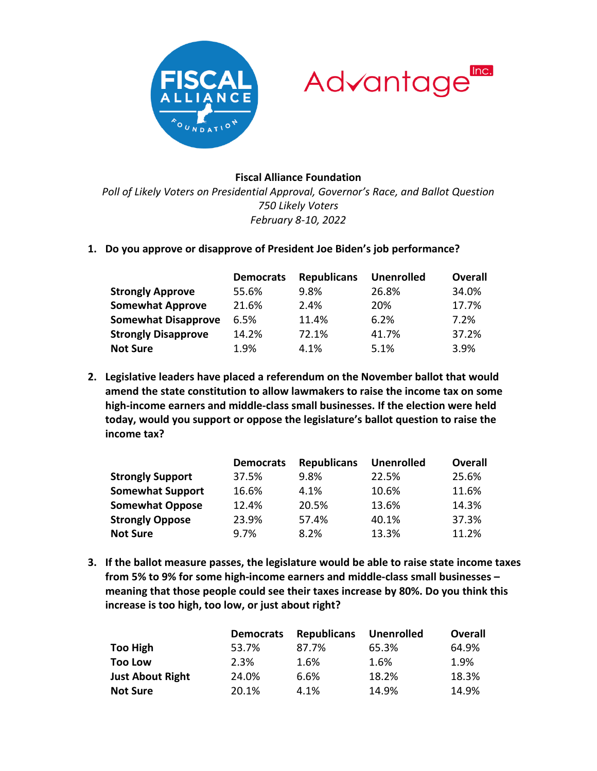



## **Fiscal Alliance Foundation**

*Poll of Likely Voters on Presidential Approval, Governor's Race, and Ballot Question 750 Likely Voters February 8-10, 2022*

**1. Do you approve or disapprove of President Joe Biden's job performance?**

|                            | <b>Democrats</b> | <b>Republicans</b> | <b>Unenrolled</b> | <b>Overall</b> |
|----------------------------|------------------|--------------------|-------------------|----------------|
| <b>Strongly Approve</b>    | 55.6%            | 9.8%               | 26.8%             | 34.0%          |
| <b>Somewhat Approve</b>    | 21.6%            | 2.4%               | 20%               | 17.7%          |
| <b>Somewhat Disapprove</b> | 6.5%             | 11.4%              | 6.2%              | 7.2%           |
| <b>Strongly Disapprove</b> | 14.2%            | 72.1%              | 41.7%             | 37.2%          |
| <b>Not Sure</b>            | 1.9%             | 4.1%               | 5.1%              | 3.9%           |

**2. Legislative leaders have placed a referendum on the November ballot that would amend the state constitution to allow lawmakers to raise the income tax on some high-income earners and middle-class small businesses. If the election were held today, would you support or oppose the legislature's ballot question to raise the income tax?**

|                         | <b>Democrats</b> | <b>Republicans</b> | <b>Unenrolled</b> | <b>Overall</b> |
|-------------------------|------------------|--------------------|-------------------|----------------|
| <b>Strongly Support</b> | 37.5%            | 9.8%               | 22.5%             | 25.6%          |
| <b>Somewhat Support</b> | 16.6%            | 4.1%               | 10.6%             | 11.6%          |
| <b>Somewhat Oppose</b>  | 12.4%            | 20.5%              | 13.6%             | 14.3%          |
| <b>Strongly Oppose</b>  | 23.9%            | 57.4%              | 40.1%             | 37.3%          |
| <b>Not Sure</b>         | 9.7%             | 8.2%               | 13.3%             | 11.2%          |

**3. If the ballot measure passes, the legislature would be able to raise state income taxes from 5% to 9% for some high-income earners and middle-class small businesses – meaning that those people could see their taxes increase by 80%. Do you think this increase is too high, too low, or just about right?**

|                         | <b>Democrats</b> | <b>Republicans</b> | <b>Unenrolled</b> | Overall |
|-------------------------|------------------|--------------------|-------------------|---------|
| <b>Too High</b>         | 53.7%            | 87.7%              | 65.3%             | 64.9%   |
| <b>Too Low</b>          | 2.3%             | 1.6%               | 1.6%              | 1.9%    |
| <b>Just About Right</b> | 24.0%            | 6.6%               | 18.2%             | 18.3%   |
| <b>Not Sure</b>         | 20.1%            | 4.1%               | 14.9%             | 14.9%   |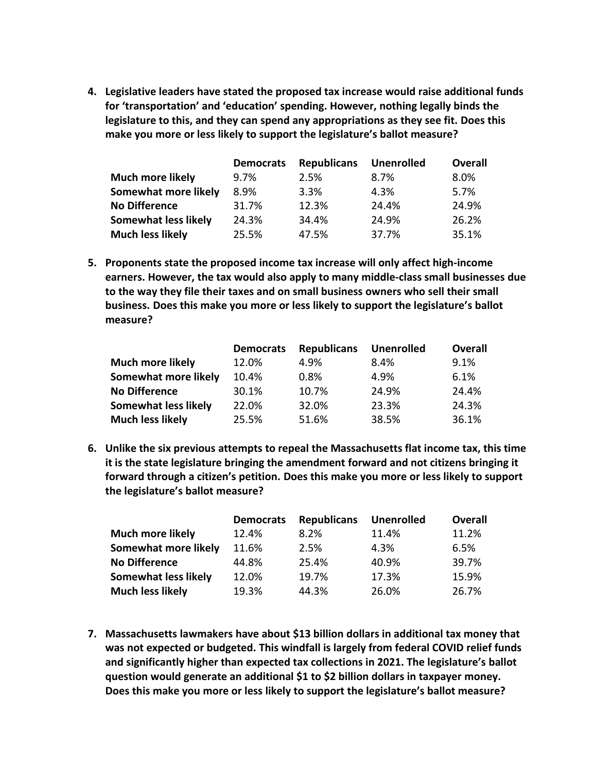**4. Legislative leaders have stated the proposed tax increase would raise additional funds for 'transportation' and 'education' spending. However, nothing legally binds the legislature to this, and they can spend any appropriations as they see fit. Does this make you more or less likely to support the legislature's ballot measure?**

|                             | <b>Democrats</b> | <b>Republicans</b> | <b>Unenrolled</b> | <b>Overall</b> |
|-----------------------------|------------------|--------------------|-------------------|----------------|
| <b>Much more likely</b>     | 9.7%             | 2.5%               | 8.7%              | 8.0%           |
| Somewhat more likely        | 8.9%             | 3.3%               | 4.3%              | 5.7%           |
| <b>No Difference</b>        | 31.7%            | 12.3%              | 24.4%             | 24.9%          |
| <b>Somewhat less likely</b> | 24.3%            | 34.4%              | 24.9%             | 26.2%          |
| <b>Much less likely</b>     | 25.5%            | 47.5%              | 37.7%             | 35.1%          |

**5. Proponents state the proposed income tax increase will only affect high-income earners. However, the tax would also apply to many middle-class small businesses due to the way they file their taxes and on small business owners who sell their small business. Does this make you more or less likely to support the legislature's ballot measure?**

|                             | <b>Democrats</b> | <b>Republicans</b> | <b>Unenrolled</b> | <b>Overall</b> |
|-----------------------------|------------------|--------------------|-------------------|----------------|
| <b>Much more likely</b>     | 12.0%            | 4.9%               | 8.4%              | 9.1%           |
| Somewhat more likely        | 10.4%            | 0.8%               | 4.9%              | 6.1%           |
| <b>No Difference</b>        | 30.1%            | 10.7%              | 24.9%             | 24.4%          |
| <b>Somewhat less likely</b> | 22.0%            | 32.0%              | 23.3%             | 24.3%          |
| <b>Much less likely</b>     | 25.5%            | 51.6%              | 38.5%             | 36.1%          |

**6. Unlike the six previous attempts to repeal the Massachusetts flat income tax, this time it is the state legislature bringing the amendment forward and not citizens bringing it forward through a citizen's petition. Does this make you more or less likely to support the legislature's ballot measure?**

|                             | <b>Democrats</b> | <b>Republicans</b> | <b>Unenrolled</b> | <b>Overall</b> |
|-----------------------------|------------------|--------------------|-------------------|----------------|
| <b>Much more likely</b>     | 12.4%            | 8.2%               | 11.4%             | 11.2%          |
| Somewhat more likely        | 11.6%            | 2.5%               | 4.3%              | 6.5%           |
| <b>No Difference</b>        | 44.8%            | 25.4%              | 40.9%             | 39.7%          |
| <b>Somewhat less likely</b> | 12.0%            | 19.7%              | 17.3%             | 15.9%          |
| <b>Much less likely</b>     | 19.3%            | 44.3%              | 26.0%             | 26.7%          |

**7. Massachusetts lawmakers have about \$13 billion dollars in additional tax money that was not expected or budgeted. This windfall is largely from federal COVID relief funds and significantly higher than expected tax collections in 2021. The legislature's ballot question would generate an additional \$1 to \$2 billion dollars in taxpayer money. Does this make you more or less likely to support the legislature's ballot measure?**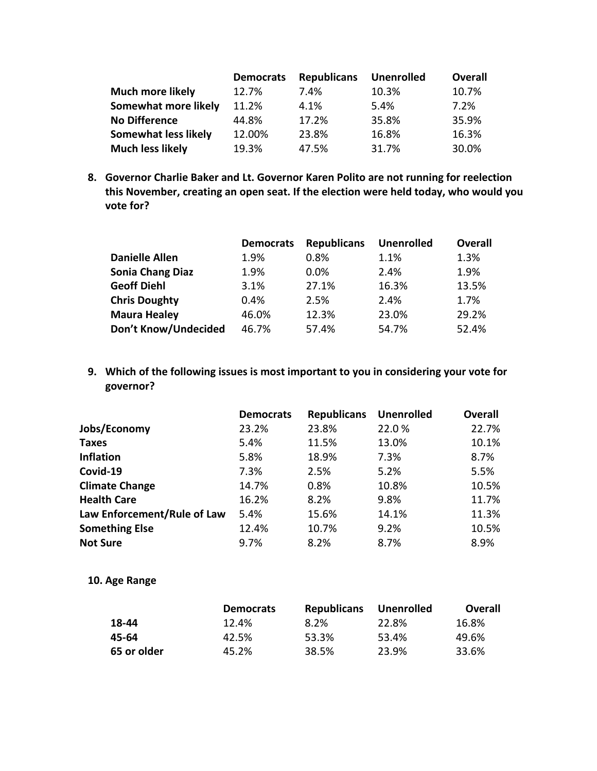|                         | <b>Democrats</b> | <b>Republicans</b> | <b>Unenrolled</b> | <b>Overall</b> |
|-------------------------|------------------|--------------------|-------------------|----------------|
| <b>Much more likely</b> | 12.7%            | 7.4%               | 10.3%             | 10.7%          |
| Somewhat more likely    | 11.2%            | 4.1%               | 5.4%              | 7.2%           |
| <b>No Difference</b>    | 44.8%            | 17.2%              | 35.8%             | 35.9%          |
| Somewhat less likely    | 12.00%           | 23.8%              | 16.8%             | 16.3%          |
| <b>Much less likely</b> | 19.3%            | 47.5%              | 31.7%             | 30.0%          |

**8. Governor Charlie Baker and Lt. Governor Karen Polito are not running for reelection this November, creating an open seat. If the election were held today, who would you vote for?**

|                         | <b>Democrats</b> | <b>Republicans</b> | <b>Unenrolled</b> | <b>Overall</b> |
|-------------------------|------------------|--------------------|-------------------|----------------|
| <b>Danielle Allen</b>   | 1.9%             | 0.8%               | 1.1%              | 1.3%           |
| <b>Sonia Chang Diaz</b> | 1.9%             | 0.0%               | 2.4%              | 1.9%           |
| <b>Geoff Diehl</b>      | 3.1%             | 27.1%              | 16.3%             | 13.5%          |
| <b>Chris Doughty</b>    | 0.4%             | 2.5%               | 2.4%              | 1.7%           |
| <b>Maura Healey</b>     | 46.0%            | 12.3%              | 23.0%             | 29.2%          |
| Don't Know/Undecided    | 46.7%            | 57.4%              | 54.7%             | 52.4%          |

**9. Which of the following issues is most important to you in considering your vote for governor?**

|                             | <b>Democrats</b> | <b>Republicans</b> | <b>Unenrolled</b> | <b>Overall</b> |
|-----------------------------|------------------|--------------------|-------------------|----------------|
| Jobs/Economy                | 23.2%            | 23.8%              | 22.0%             | 22.7%          |
| <b>Taxes</b>                | 5.4%             | 11.5%              | 13.0%             | 10.1%          |
| <b>Inflation</b>            | 5.8%             | 18.9%              | 7.3%              | 8.7%           |
| Covid-19                    | 7.3%             | 2.5%               | 5.2%              | 5.5%           |
| <b>Climate Change</b>       | 14.7%            | 0.8%               | 10.8%             | 10.5%          |
| <b>Health Care</b>          | 16.2%            | 8.2%               | 9.8%              | 11.7%          |
| Law Enforcement/Rule of Law | 5.4%             | 15.6%              | 14.1%             | 11.3%          |
| <b>Something Else</b>       | 12.4%            | 10.7%              | 9.2%              | 10.5%          |
| <b>Not Sure</b>             | 9.7%             | 8.2%               | 8.7%              | 8.9%           |

**10. Age Range**

|             | <b>Democrats</b> | <b>Republicans</b> | <b>Unenrolled</b> | <b>Overall</b> |
|-------------|------------------|--------------------|-------------------|----------------|
| 18-44       | 12.4%            | 8.2%               | 22.8%             | 16.8%          |
| 45-64       | 42.5%            | 53.3%              | 53.4%             | 49.6%          |
| 65 or older | 45.2%            | 38.5%              | 23.9%             | 33.6%          |